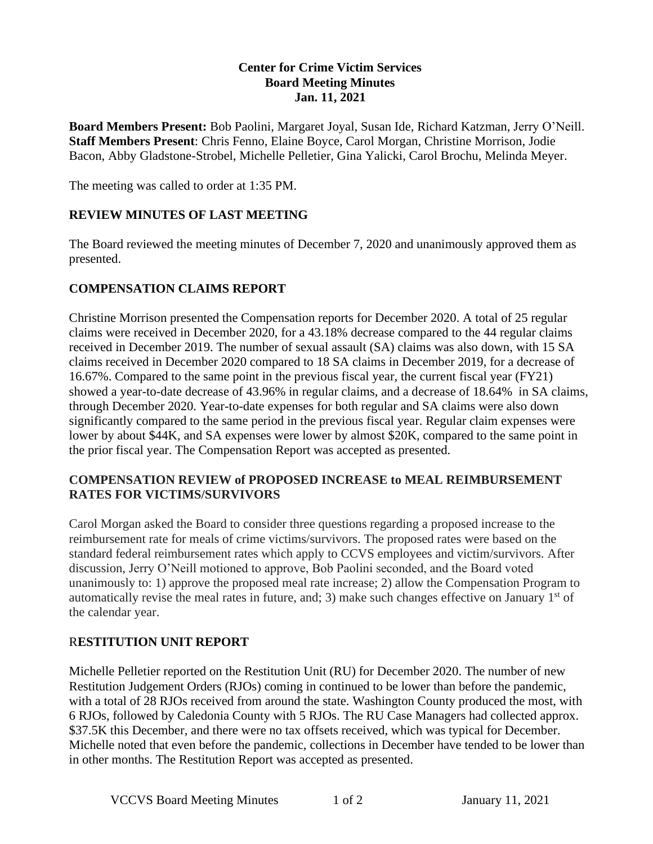#### **Center for Crime Victim Services Board Meeting Minutes Jan. 11, 2021**

**Board Members Present:** Bob Paolini, Margaret Joyal, Susan Ide, Richard Katzman, Jerry O'Neill. **Staff Members Present**: Chris Fenno, Elaine Boyce, Carol Morgan, Christine Morrison, Jodie Bacon, Abby Gladstone-Strobel, Michelle Pelletier, Gina Yalicki, Carol Brochu, Melinda Meyer.

The meeting was called to order at 1:35 PM.

#### **REVIEW MINUTES OF LAST MEETING**

The Board reviewed the meeting minutes of December 7, 2020 and unanimously approved them as presented.

#### **COMPENSATION CLAIMS REPORT**

Christine Morrison presented the Compensation reports for December 2020. A total of 25 regular claims were received in December 2020, for a 43.18% decrease compared to the 44 regular claims received in December 2019. The number of sexual assault (SA) claims was also down, with 15 SA claims received in December 2020 compared to 18 SA claims in December 2019, for a decrease of 16.67%. Compared to the same point in the previous fiscal year, the current fiscal year (FY21) showed a year-to-date decrease of 43.96% in regular claims, and a decrease of 18.64% in SA claims, through December 2020. Year-to-date expenses for both regular and SA claims were also down significantly compared to the same period in the previous fiscal year. Regular claim expenses were lower by about \$44K, and SA expenses were lower by almost \$20K, compared to the same point in the prior fiscal year. The Compensation Report was accepted as presented.

#### **COMPENSATION REVIEW of PROPOSED INCREASE to MEAL REIMBURSEMENT RATES FOR VICTIMS/SURVIVORS**

Carol Morgan asked the Board to consider three questions regarding a proposed increase to the reimbursement rate for meals of crime victims/survivors. The proposed rates were based on the standard federal reimbursement rates which apply to CCVS employees and victim/survivors. After discussion, Jerry O'Neill motioned to approve, Bob Paolini seconded, and the Board voted unanimously to: 1) approve the proposed meal rate increase; 2) allow the Compensation Program to automatically revise the meal rates in future, and; 3) make such changes effective on January  $1<sup>st</sup>$  of the calendar year.

#### R**ESTITUTION UNIT REPORT**

Michelle Pelletier reported on the Restitution Unit (RU) for December 2020. The number of new Restitution Judgement Orders (RJOs) coming in continued to be lower than before the pandemic, with a total of 28 RJOs received from around the state. Washington County produced the most, with 6 RJOs, followed by Caledonia County with 5 RJOs. The RU Case Managers had collected approx. \$37.5K this December, and there were no tax offsets received, which was typical for December. Michelle noted that even before the pandemic, collections in December have tended to be lower than in other months. The Restitution Report was accepted as presented.